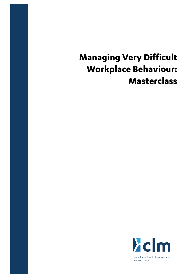# **Managing Very Difficult Workplace Behaviour: Masterclass**

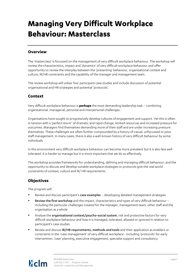# **Managing Very Difficult Workplace Behaviour: Masterclass**

## **Overview**

The 'masterclass' is focussed on the management of very difficult workplace behaviour. The workshop will review the characteristics, impact and 'dynamics' of very difficult workplace behaviour and offer opportunity to review the interplay between the 'presenting' behaviour, organisational context and culture, IR/HR constraints and the capability of the manager and management team.

The review workshop will utilise 'live' participant case studies and include discussion of potential organisational and HR strategies and potential 'protocols'.

### **Context**

Very difficult workplace behaviour is **perhaps** the most demanding leadership task – combining organisational, managerial, personal and interpersonal challenges.

Organisations have sought to progressively develop cultures of engagement and support. Yet this is often in tension with a 'perfect storm' of dramatic and rapid change, limited resources and increased pressure for outcomes. Managers find themselves demanding more of their staff and are under increasing pressure themselves. These challenges are often further compounded by a history of casual, unfocussed or poor staff management. In many cases, there is also a well-known history of very difficult behaviour by some individuals.

In this environment very difficult workplace behaviour can become more prevalent but it is also less well tolerated. It is harder to manage but it is more important that we do so effectively.

This workshop provides frameworks for understanding, defining and managing difficult behaviour; and the opportunity to discuss and develop suitable workplace strategies or protocols give the real world constraints of context, culture and IR/ HR requirements.

# **Objectives**

The program will:

- Review and discuss participant's case examples developing detailed management strategies
- Review the first workshop and the impact, characteristics and types of very difficult behaviour including the particular challenges created for the manager, management team, other staff and the organisation as a whole
- Analyse the organisational context/psycho-social system, risk and protective factors for very difficult workplace behaviour and how it is managed, tolerated, allowed or ignored in relation to participant's case studies
- Review and discuss IR/HR requirements, methods and tools and their application as enablers or constraints in the 'case management' of very difficult workplace - including 'protocols' for early intervention, 'case' planning, executive engagement, specialist support and consultancy.